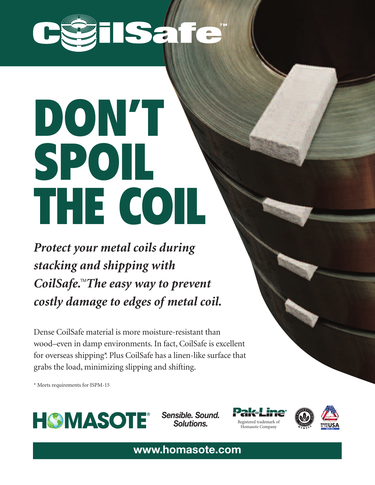

## **DON'T SPOIL THE COIL. SPOIL DON'T THE COIL**

*Protect your metal coils during stacking and shipping with*  $ColSafe$ . The easy way to prevent *costly damage to edges of metal coil.*

Dense CoilSafe material is more moisture-resistant than wood–even in damp environments. In fact, CoilSafe is excellent for overseas shipping\*. Plus CoilSafe has a linen-like surface that grabs the load, minimizing slipping and shifting.

\* Meets requirements for ISPM-15



*Sensible. Sound.*





**www.homasote.com**